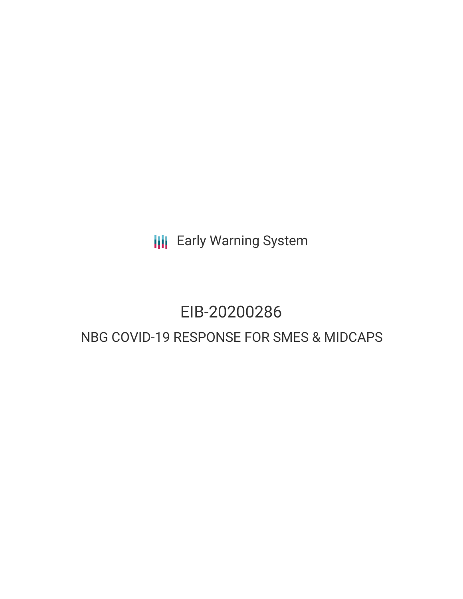**III** Early Warning System

# EIB-20200286

## NBG COVID-19 RESPONSE FOR SMES & MIDCAPS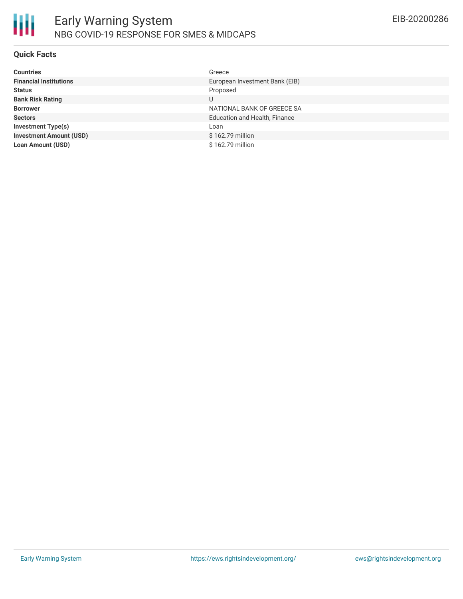

### **Quick Facts**

| <b>Countries</b>               | Greece                               |
|--------------------------------|--------------------------------------|
| <b>Financial Institutions</b>  | European Investment Bank (EIB)       |
| <b>Status</b>                  | Proposed                             |
| <b>Bank Risk Rating</b>        | U                                    |
| <b>Borrower</b>                | NATIONAL BANK OF GREECE SA           |
| <b>Sectors</b>                 | <b>Education and Health, Finance</b> |
| Investment Type(s)             | Loan                                 |
| <b>Investment Amount (USD)</b> | \$162.79 million                     |
| <b>Loan Amount (USD)</b>       | \$162.79 million                     |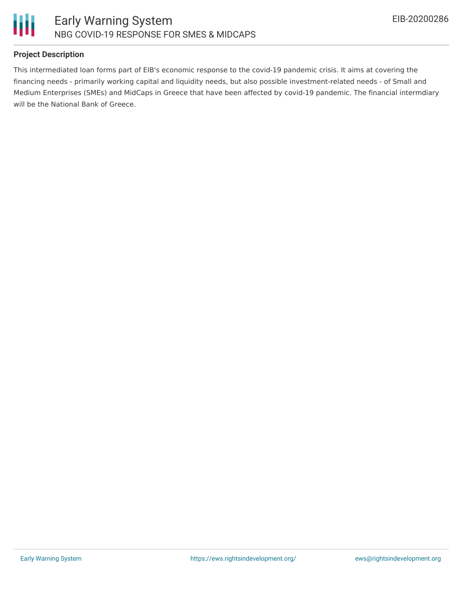

### **Project Description**

This intermediated loan forms part of EIB's economic response to the covid-19 pandemic crisis. It aims at covering the financing needs - primarily working capital and liquidity needs, but also possible investment-related needs - of Small and Medium Enterprises (SMEs) and MidCaps in Greece that have been affected by covid-19 pandemic. The financial intermdiary will be the National Bank of Greece.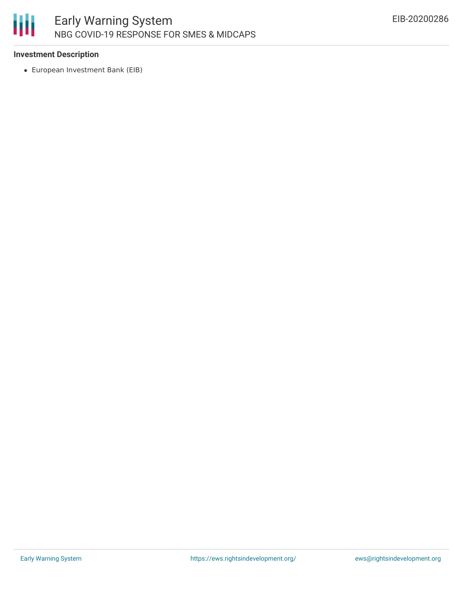

#### **Investment Description**

European Investment Bank (EIB)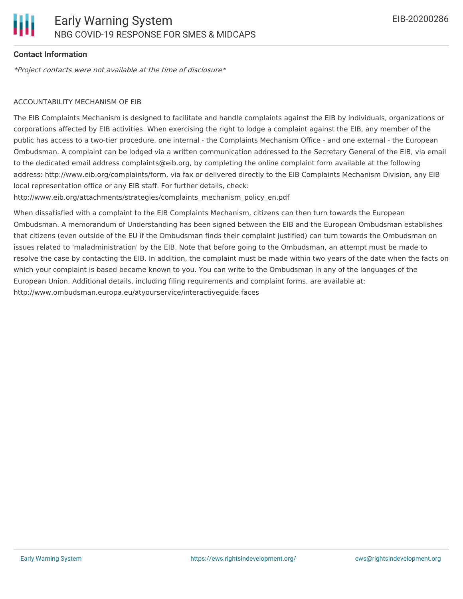### **Contact Information**

\*Project contacts were not available at the time of disclosure\*

#### ACCOUNTABILITY MECHANISM OF EIB

The EIB Complaints Mechanism is designed to facilitate and handle complaints against the EIB by individuals, organizations or corporations affected by EIB activities. When exercising the right to lodge a complaint against the EIB, any member of the public has access to a two-tier procedure, one internal - the Complaints Mechanism Office - and one external - the European Ombudsman. A complaint can be lodged via a written communication addressed to the Secretary General of the EIB, via email to the dedicated email address complaints@eib.org, by completing the online complaint form available at the following address: http://www.eib.org/complaints/form, via fax or delivered directly to the EIB Complaints Mechanism Division, any EIB local representation office or any EIB staff. For further details, check:

http://www.eib.org/attachments/strategies/complaints\_mechanism\_policy\_en.pdf

When dissatisfied with a complaint to the EIB Complaints Mechanism, citizens can then turn towards the European Ombudsman. A memorandum of Understanding has been signed between the EIB and the European Ombudsman establishes that citizens (even outside of the EU if the Ombudsman finds their complaint justified) can turn towards the Ombudsman on issues related to 'maladministration' by the EIB. Note that before going to the Ombudsman, an attempt must be made to resolve the case by contacting the EIB. In addition, the complaint must be made within two years of the date when the facts on which your complaint is based became known to you. You can write to the Ombudsman in any of the languages of the European Union. Additional details, including filing requirements and complaint forms, are available at: http://www.ombudsman.europa.eu/atyourservice/interactiveguide.faces